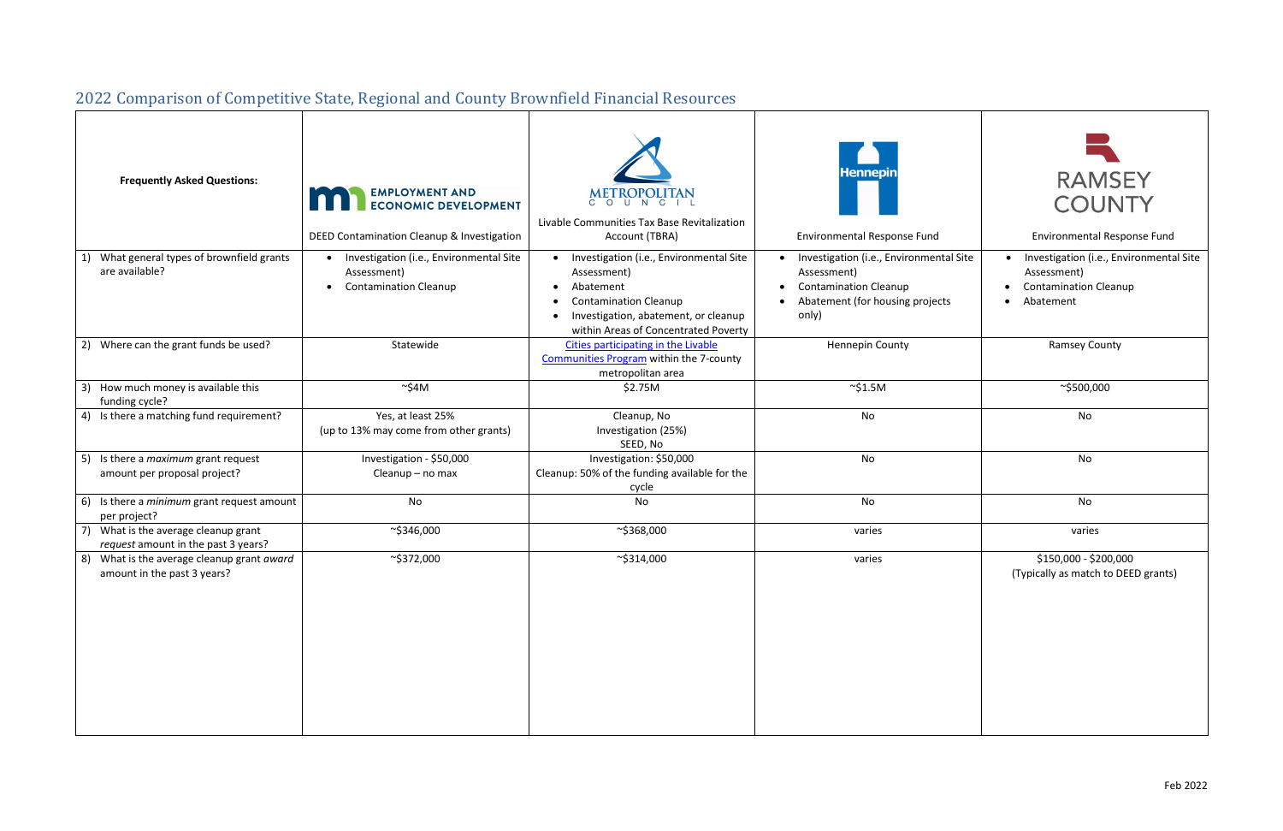## 2022 Comparison of Competitive State, Regional and County Brownfield Financial Resources

| <b>Frequently Asked Questions:</b>                                            | <b>EMPLOYMENT AND</b><br><b>ECONOMIC DEVELOPMENT</b><br>DEED Contamination Cleanup & Investigation    | METROPOLITAN<br>Livable Communities Tax Base Revitalization<br>Account (TBRA)                                                                                                       | <b>Hennepin</b><br><b>Environmental Response Fund</b>                                                                              | <b>RAMSEY</b><br><b>COUNTY</b><br>Environmental Response Fund                                       |
|-------------------------------------------------------------------------------|-------------------------------------------------------------------------------------------------------|-------------------------------------------------------------------------------------------------------------------------------------------------------------------------------------|------------------------------------------------------------------------------------------------------------------------------------|-----------------------------------------------------------------------------------------------------|
| What general types of brownfield grants<br>are available?                     | • Investigation (i.e., Environmental Site<br>Assessment)<br><b>Contamination Cleanup</b><br>$\bullet$ | Investigation (i.e., Environmental Site<br>Assessment)<br>Abatement<br><b>Contamination Cleanup</b><br>Investigation, abatement, or cleanup<br>within Areas of Concentrated Poverty | Investigation (i.e., Environmental Site<br>Assessment)<br><b>Contamination Cleanup</b><br>Abatement (for housing projects<br>only) | Investigation (i.e., Environmental Site<br>Assessment)<br><b>Contamination Cleanup</b><br>Abatement |
| 2) Where can the grant funds be used?                                         | Statewide                                                                                             | Cities participating in the Livable<br><b>Communities Program within the 7-county</b><br>metropolitan area                                                                          | <b>Hennepin County</b>                                                                                                             | <b>Ramsey County</b>                                                                                |
| How much money is available this<br>3)<br>funding cycle?                      | $\sim$ \$4M                                                                                           | \$2.75M                                                                                                                                                                             | $\sim$ \$1.5M                                                                                                                      | ~\$500,000                                                                                          |
| 4) Is there a matching fund requirement?                                      | Yes, at least 25%<br>(up to 13% may come from other grants)                                           | Cleanup, No<br>Investigation (25%)<br>SEED, No                                                                                                                                      | No                                                                                                                                 | No                                                                                                  |
| Is there a <i>maximum</i> grant request<br>5)<br>amount per proposal project? | Investigation - \$50,000<br>Cleanup - no max                                                          | Investigation: \$50,000<br>Cleanup: 50% of the funding available for the<br>cycle                                                                                                   | No                                                                                                                                 | No                                                                                                  |
| 6) Is there a <i>minimum</i> grant request amount<br>per project?             | No                                                                                                    | No                                                                                                                                                                                  | No                                                                                                                                 | No                                                                                                  |
| What is the average cleanup grant<br>request amount in the past 3 years?      | $\sim$ \$346,000                                                                                      | $\sim$ \$368,000                                                                                                                                                                    | varies                                                                                                                             | varies                                                                                              |
| 8) What is the average cleanup grant award<br>amount in the past 3 years?     | $\sim$ \$372,000                                                                                      | $\sim$ \$314,000                                                                                                                                                                    | varies                                                                                                                             | \$150,000 - \$200,000<br>(Typically as match to DEED grants)                                        |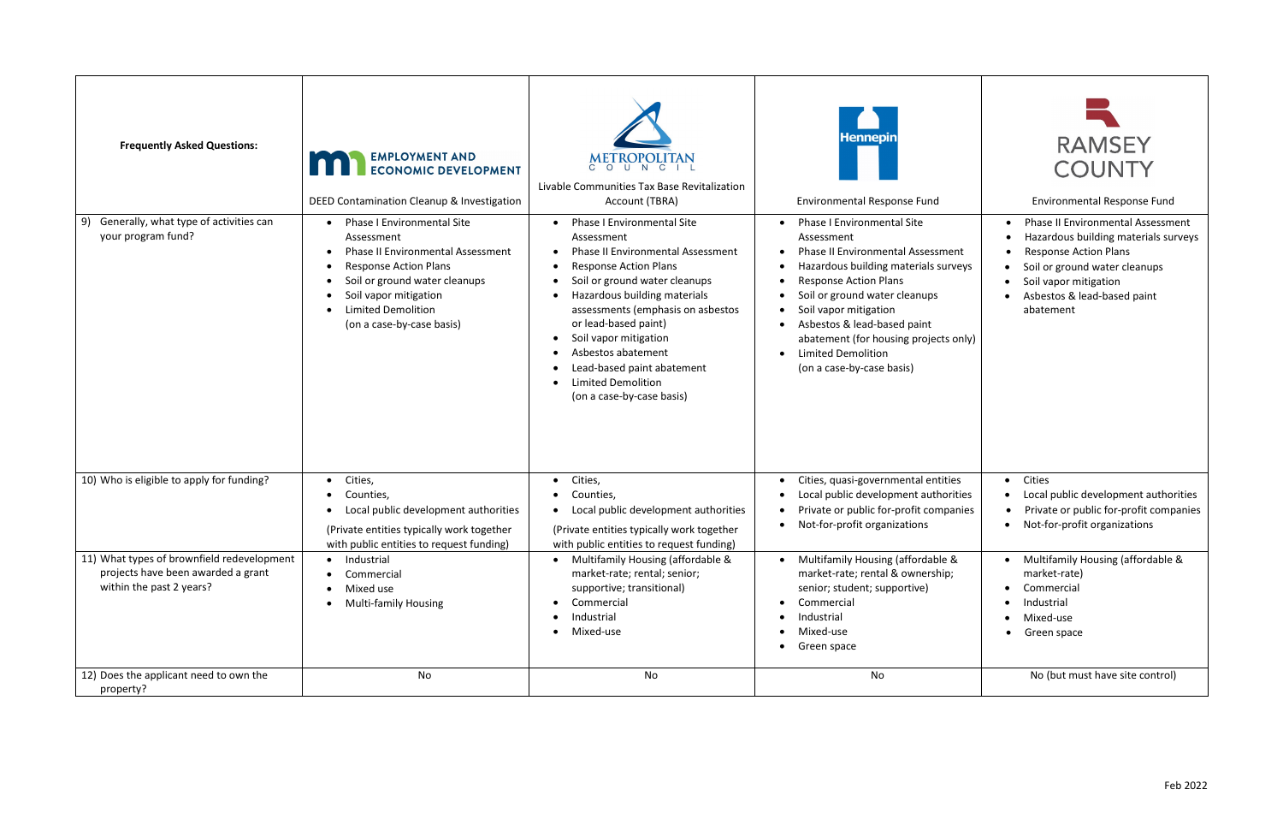| <b>Frequently Asked Questions:</b>                                                                           | <b>EMPLOYMENT AND</b><br><b>ECONOMIC DEVELOPMENT</b><br>DEED Contamination Cleanup & Investigation                                                                                                                                       | METROPOLITAN<br>Livable Communities Tax Base Revitalization<br>Account (TBRA)                                                                                                                                                                                                                                                                                                                    | <b>Hennepin</b><br><b>Environmental Response Fund</b>                                                                                                                                                                                                                                                                                                                        | <b>RAMSEY</b><br><b>COUNTY</b><br><b>Environmental Response Fund</b>                                                                                                                                                   |
|--------------------------------------------------------------------------------------------------------------|------------------------------------------------------------------------------------------------------------------------------------------------------------------------------------------------------------------------------------------|--------------------------------------------------------------------------------------------------------------------------------------------------------------------------------------------------------------------------------------------------------------------------------------------------------------------------------------------------------------------------------------------------|------------------------------------------------------------------------------------------------------------------------------------------------------------------------------------------------------------------------------------------------------------------------------------------------------------------------------------------------------------------------------|------------------------------------------------------------------------------------------------------------------------------------------------------------------------------------------------------------------------|
| Generally, what type of activities can<br>9)<br>your program fund?                                           | Phase I Environmental Site<br>Assessment<br><b>Phase II Environmental Assessment</b><br><b>Response Action Plans</b><br>Soil or ground water cleanups<br>Soil vapor mitigation<br><b>Limited Demolition</b><br>(on a case-by-case basis) | <b>Phase I Environmental Site</b><br>Assessment<br><b>Phase II Environmental Assessment</b><br><b>Response Action Plans</b><br>Soil or ground water cleanups<br>Hazardous building materials<br>assessments (emphasis on asbestos<br>or lead-based paint)<br>Soil vapor mitigation<br>Asbestos abatement<br>Lead-based paint abatement<br><b>Limited Demolition</b><br>(on a case-by-case basis) | <b>Phase I Environmental Site</b><br>Assessment<br><b>Phase II Environmental Assessment</b><br>Hazardous building materials surveys<br>$\bullet$<br><b>Response Action Plans</b><br>Soil or ground water cleanups<br>Soil vapor mitigation<br>Asbestos & lead-based paint<br>abatement (for housing projects only)<br><b>Limited Demolition</b><br>(on a case-by-case basis) | <b>Phase II Environmental Assessment</b><br>Hazardous building materials surveys<br><b>Response Action Plans</b><br>Soil or ground water cleanups<br>Soil vapor mitigation<br>Asbestos & lead-based paint<br>abatement |
| 10) Who is eligible to apply for funding?                                                                    | • Cities,<br>Counties,<br>Local public development authorities<br>(Private entities typically work together<br>with public entities to request funding)                                                                                  | Cities,<br>Counties,<br>Local public development authorities<br>(Private entities typically work together<br>with public entities to request funding)                                                                                                                                                                                                                                            | Cities, quasi-governmental entities<br>Local public development authorities<br>Private or public for-profit companies<br>Not-for-profit organizations                                                                                                                                                                                                                        | Cities<br>$\bullet$<br>Local public development authorities<br>Private or public for-profit companies<br>Not-for-profit organizations                                                                                  |
| 11) What types of brownfield redevelopment<br>projects have been awarded a grant<br>within the past 2 years? | • Industrial<br>Commercial<br>Mixed use<br><b>Multi-family Housing</b>                                                                                                                                                                   | Multifamily Housing (affordable &<br>market-rate; rental; senior;<br>supportive; transitional)<br>Commercial<br>Industrial<br>Mixed-use<br>$\bullet$                                                                                                                                                                                                                                             | • Multifamily Housing (affordable &<br>market-rate; rental & ownership;<br>senior; student; supportive)<br>Commercial<br>Industrial<br>Mixed-use<br>Green space                                                                                                                                                                                                              | Multifamily Housing (affordable &<br>market-rate)<br>Commercial<br>Industrial<br>Mixed-use<br>Green space                                                                                                              |
| 12) Does the applicant need to own the<br>property?                                                          | No                                                                                                                                                                                                                                       | No                                                                                                                                                                                                                                                                                                                                                                                               | No                                                                                                                                                                                                                                                                                                                                                                           | No (but must have site control)                                                                                                                                                                                        |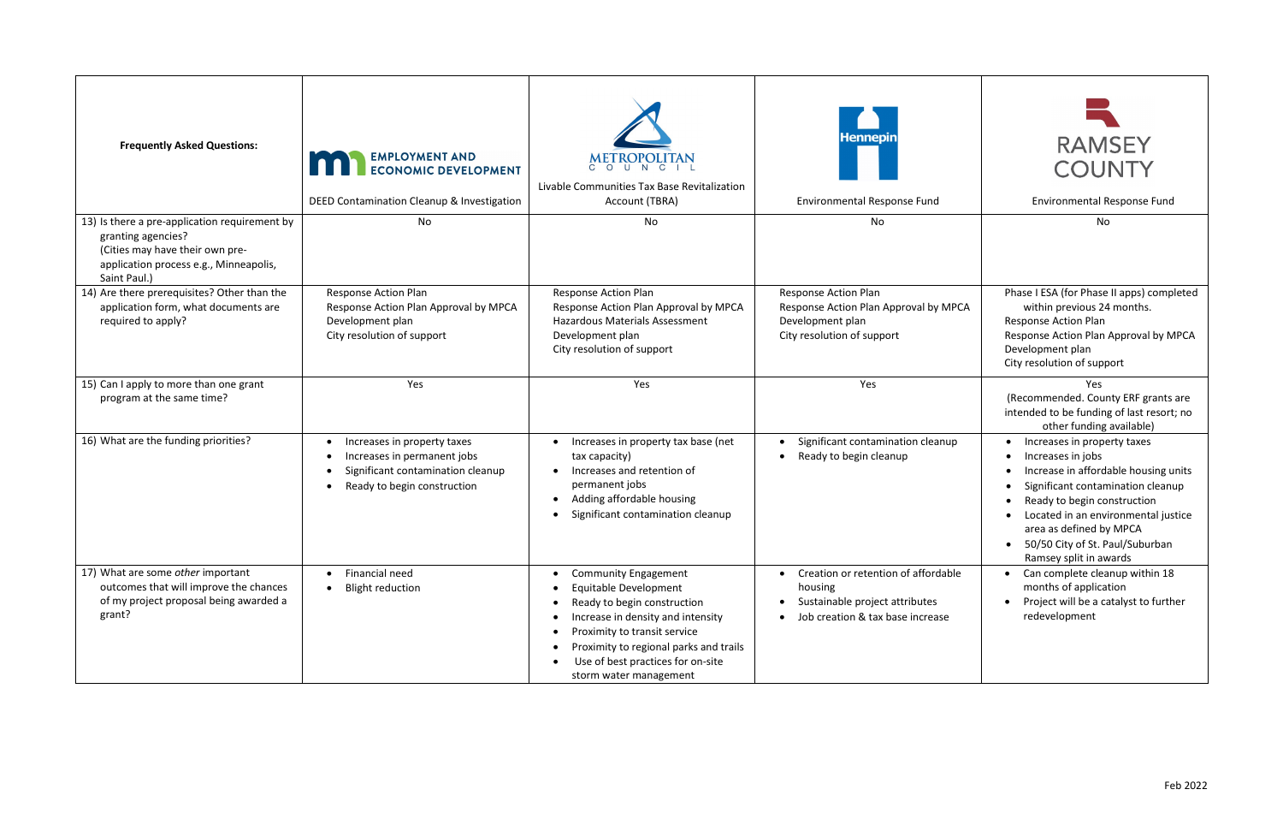| <b>Frequently Asked Questions:</b>                                                                                                                               | <b>EMPLOYMENT AND<br/>ECONOMIC DEVELOPMENT</b><br>DEED Contamination Cleanup & Investigation                                   | METROPOLITAN<br>Livable Communities Tax Base Revitalization<br>Account (TBRA)                                                                                                                                                                                     | <b>Hennepin</b><br><b>Environmental Response Fund</b>                                                                | <b>RAMSEY</b><br><b>COUNTY</b><br><b>Environmental Response Fund</b>                                                                                                                                                                                                                          |
|------------------------------------------------------------------------------------------------------------------------------------------------------------------|--------------------------------------------------------------------------------------------------------------------------------|-------------------------------------------------------------------------------------------------------------------------------------------------------------------------------------------------------------------------------------------------------------------|----------------------------------------------------------------------------------------------------------------------|-----------------------------------------------------------------------------------------------------------------------------------------------------------------------------------------------------------------------------------------------------------------------------------------------|
| 13) Is there a pre-application requirement by<br>granting agencies?<br>(Cities may have their own pre-<br>application process e.g., Minneapolis,<br>Saint Paul.) | No                                                                                                                             | No                                                                                                                                                                                                                                                                | No                                                                                                                   | No                                                                                                                                                                                                                                                                                            |
| 14) Are there prerequisites? Other than the<br>application form, what documents are<br>required to apply?                                                        | <b>Response Action Plan</b><br>Response Action Plan Approval by MPCA<br>Development plan<br>City resolution of support         | <b>Response Action Plan</b><br>Response Action Plan Approval by MPCA<br>Hazardous Materials Assessment<br>Development plan<br>City resolution of support                                                                                                          | Response Action Plan<br>Response Action Plan Approval by MPCA<br>Development plan<br>City resolution of support      | Phase I ESA (for Phase II apps) completed<br>within previous 24 months.<br><b>Response Action Plan</b><br>Response Action Plan Approval by MPCA<br>Development plan<br>City resolution of support                                                                                             |
| 15) Can I apply to more than one grant<br>program at the same time?                                                                                              | Yes                                                                                                                            | Yes                                                                                                                                                                                                                                                               | Yes                                                                                                                  | Yes<br>(Recommended. County ERF grants are<br>intended to be funding of last resort; no<br>other funding available)                                                                                                                                                                           |
| 16) What are the funding priorities?                                                                                                                             | Increases in property taxes<br>Increases in permanent jobs<br>Significant contamination cleanup<br>Ready to begin construction | Increases in property tax base (net<br>tax capacity)<br>Increases and retention of<br>permanent jobs<br>Adding affordable housing<br>Significant contamination cleanup                                                                                            | Significant contamination cleanup<br>Ready to begin cleanup                                                          | Increases in property taxes<br>Increases in jobs<br>Increase in affordable housing units<br>Significant contamination cleanup<br>Ready to begin construction<br>Located in an environmental justice<br>area as defined by MPCA<br>• 50/50 City of St. Paul/Suburban<br>Ramsey split in awards |
| 17) What are some other important<br>outcomes that will improve the chances<br>of my project proposal being awarded a<br>grant?                                  | Financial need<br><b>Blight reduction</b>                                                                                      | <b>Community Engagement</b><br>Equitable Development<br>Ready to begin construction<br>Increase in density and intensity<br>Proximity to transit service<br>Proximity to regional parks and trails<br>Use of best practices for on-site<br>storm water management | Creation or retention of affordable<br>housing<br>Sustainable project attributes<br>Job creation & tax base increase | Can complete cleanup within 18<br>months of application<br>Project will be a catalyst to further<br>redevelopment                                                                                                                                                                             |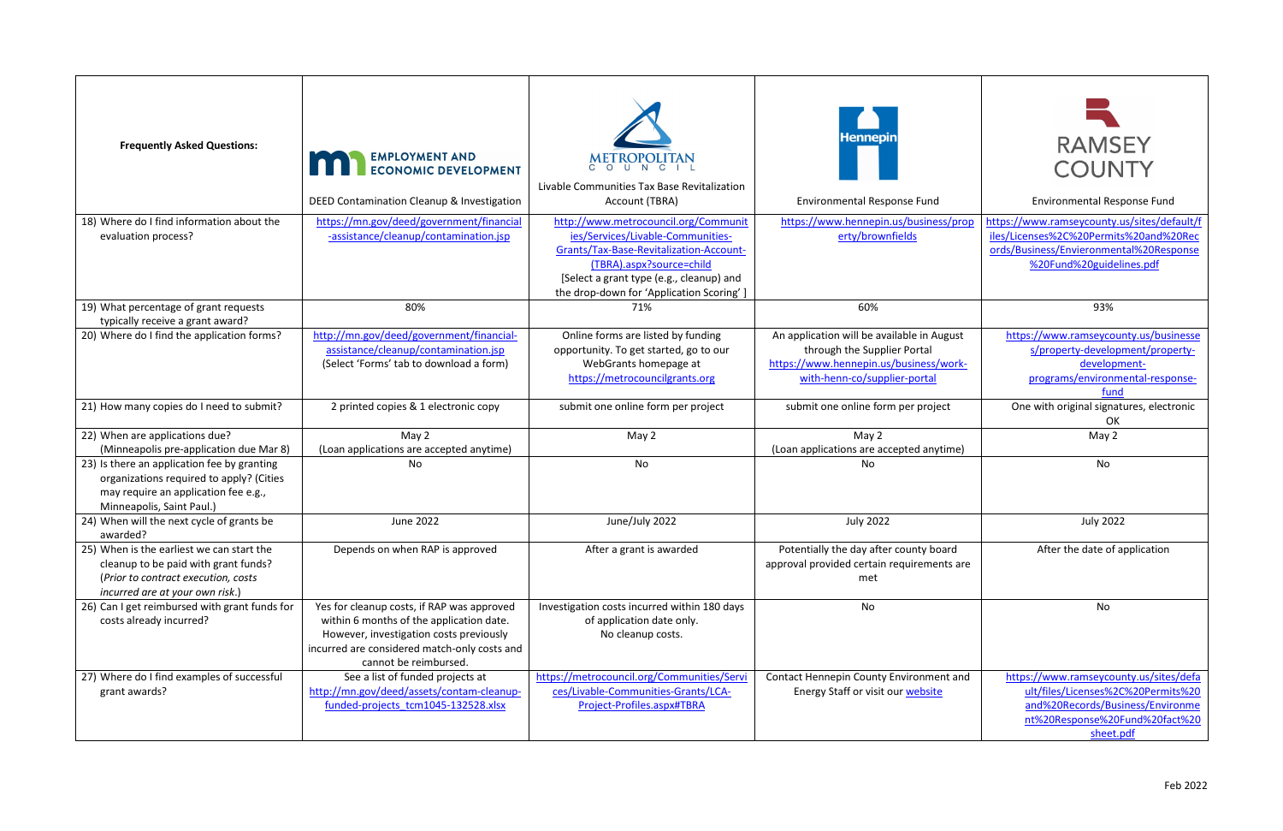| <b>Frequently Asked Questions:</b>                                                                                                                           | <b>EMPLOYMENT AND</b><br><b>ECONOMIC DEVELOPMENT</b><br>DEED Contamination Cleanup & Investigation                                                                                                         | METROPOLITAN<br>Livable Communities Tax Base Revitalization<br>Account (TBRA)                                                                                                                                                            | <b>Hennepin</b><br><b>Environmental Response Fund</b>                                                                                               | <b>RAMSEY</b><br><b>COUNTY</b><br><b>Environmental Response Fund</b>                                                                                            |
|--------------------------------------------------------------------------------------------------------------------------------------------------------------|------------------------------------------------------------------------------------------------------------------------------------------------------------------------------------------------------------|------------------------------------------------------------------------------------------------------------------------------------------------------------------------------------------------------------------------------------------|-----------------------------------------------------------------------------------------------------------------------------------------------------|-----------------------------------------------------------------------------------------------------------------------------------------------------------------|
| 18) Where do I find information about the<br>evaluation process?                                                                                             | https://mn.gov/deed/government/financial<br>-assistance/cleanup/contamination.jsp                                                                                                                          | http://www.metrocouncil.org/Communit<br>ies/Services/Livable-Communities-<br>Grants/Tax-Base-Revitalization-Account-<br>(TBRA).aspx?source=child<br>[Select a grant type (e.g., cleanup) and<br>the drop-down for 'Application Scoring'] | https://www.hennepin.us/business/prop<br>erty/brownfields                                                                                           | https://www.ramseycounty.us/sites/default/f<br>iles/Licenses%2C%20Permits%20and%20Rec<br>ords/Business/Envieronmental%20Response<br>%20Fund%20guidelines.pdf    |
| 19) What percentage of grant requests<br>typically receive a grant award?                                                                                    | 80%                                                                                                                                                                                                        | 71%                                                                                                                                                                                                                                      | 60%                                                                                                                                                 | 93%                                                                                                                                                             |
| 20) Where do I find the application forms?                                                                                                                   | http://mn.gov/deed/government/financial-<br>assistance/cleanup/contamination.jsp<br>(Select 'Forms' tab to download a form)                                                                                | Online forms are listed by funding<br>opportunity. To get started, go to our<br>WebGrants homepage at<br>https://metrocouncilgrants.org                                                                                                  | An application will be available in August<br>through the Supplier Portal<br>https://www.hennepin.us/business/work-<br>with-henn-co/supplier-portal | https://www.ramseycounty.us/businesse<br>s/property-development/property-<br>development-<br>programs/environmental-response-<br>fund                           |
| 21) How many copies do I need to submit?                                                                                                                     | 2 printed copies & 1 electronic copy                                                                                                                                                                       | submit one online form per project                                                                                                                                                                                                       | submit one online form per project                                                                                                                  | One with original signatures, electronic<br>OK.                                                                                                                 |
| 22) When are applications due?<br>(Minneapolis pre-application due Mar 8)                                                                                    | May 2<br>(Loan applications are accepted anytime)                                                                                                                                                          | May 2                                                                                                                                                                                                                                    | May 2<br>(Loan applications are accepted anytime)                                                                                                   | May 2                                                                                                                                                           |
| 23) Is there an application fee by granting<br>organizations required to apply? (Cities<br>may require an application fee e.g.,<br>Minneapolis, Saint Paul.) | No                                                                                                                                                                                                         | No                                                                                                                                                                                                                                       | No                                                                                                                                                  | No                                                                                                                                                              |
| 24) When will the next cycle of grants be<br>awarded?                                                                                                        | June 2022                                                                                                                                                                                                  | June/July 2022                                                                                                                                                                                                                           | <b>July 2022</b>                                                                                                                                    | <b>July 2022</b>                                                                                                                                                |
| 25) When is the earliest we can start the<br>cleanup to be paid with grant funds?<br>(Prior to contract execution, costs<br>incurred are at your own risk.)  | Depends on when RAP is approved                                                                                                                                                                            | After a grant is awarded                                                                                                                                                                                                                 | Potentially the day after county board<br>approval provided certain requirements are<br>met                                                         | After the date of application                                                                                                                                   |
| 26) Can I get reimbursed with grant funds for<br>costs already incurred?                                                                                     | Yes for cleanup costs, if RAP was approved<br>within 6 months of the application date.<br>However, investigation costs previously<br>incurred are considered match-only costs and<br>cannot be reimbursed. | Investigation costs incurred within 180 days<br>of application date only.<br>No cleanup costs.                                                                                                                                           | No                                                                                                                                                  | No                                                                                                                                                              |
| 27) Where do I find examples of successful<br>grant awards?                                                                                                  | See a list of funded projects at<br>http://mn.gov/deed/assets/contam-cleanup-<br>funded-projects tcm1045-132528.xlsx                                                                                       | https://metrocouncil.org/Communities/Servi<br>ces/Livable-Communities-Grants/LCA-<br>Project-Profiles.aspx#TBRA                                                                                                                          | Contact Hennepin County Environment and<br>Energy Staff or visit our website                                                                        | https://www.ramseycounty.us/sites/defa<br>ult/files/Licenses%2C%20Permits%20<br>and%20Records/Business/Environme<br>nt%20Response%20Fund%20fact%20<br>sheet.pdf |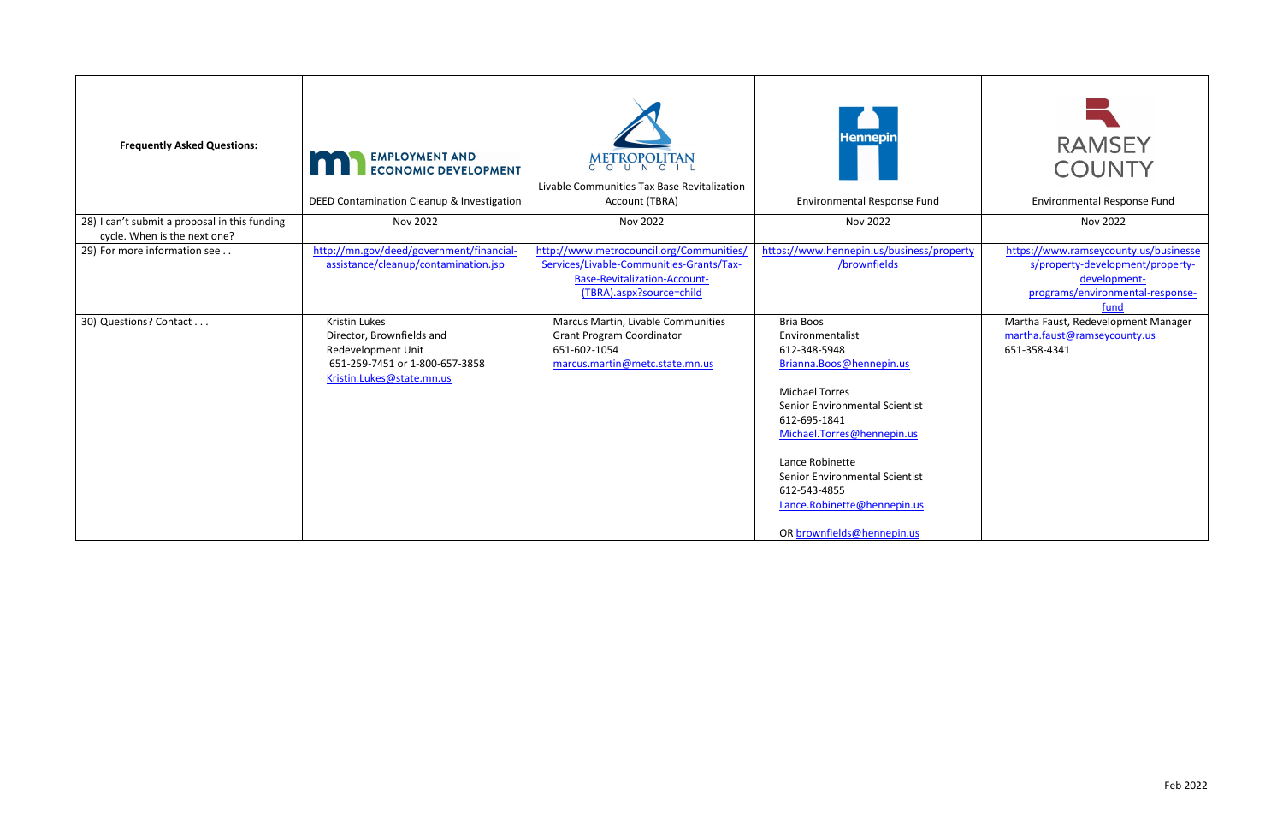| <b>Frequently Asked Questions:</b>                                            | <b>EMPLOYMENT AND</b><br><b>ECONOMIC DEVELOPMENT</b><br>DEED Contamination Cleanup & Investigation                                     | METROPOLITAN<br>Livable Communities Tax Base Revitalization<br>Account (TBRA)                                                                           | <b>Hennepin</b><br><b>Environmental Response Fund</b>                                                                                                                                                                                                                                                                | <b>RAMSEY</b><br><b>COUNTY</b><br><b>Environmental Response Fund</b>                                                                  |
|-------------------------------------------------------------------------------|----------------------------------------------------------------------------------------------------------------------------------------|---------------------------------------------------------------------------------------------------------------------------------------------------------|----------------------------------------------------------------------------------------------------------------------------------------------------------------------------------------------------------------------------------------------------------------------------------------------------------------------|---------------------------------------------------------------------------------------------------------------------------------------|
| 28) I can't submit a proposal in this funding<br>cycle. When is the next one? | Nov 2022                                                                                                                               | Nov 2022                                                                                                                                                | Nov 2022                                                                                                                                                                                                                                                                                                             | Nov 2022                                                                                                                              |
| 29) For more information see                                                  | http://mn.gov/deed/government/financial-<br>assistance/cleanup/contamination.jsp                                                       | http://www.metrocouncil.org/Communities,<br>Services/Livable-Communities-Grants/Tax-<br><b>Base-Revitalization-Account-</b><br>(TBRA).aspx?source=child | https://www.hennepin.us/business/property<br>/brownfields                                                                                                                                                                                                                                                            | https://www.ramseycounty.us/businesse<br>s/property-development/property-<br>development-<br>programs/environmental-response-<br>fund |
| 30) Questions? Contact                                                        | Kristin Lukes<br>Director, Brownfields and<br><b>Redevelopment Unit</b><br>651-259-7451 or 1-800-657-3858<br>Kristin.Lukes@state.mn.us | Marcus Martin, Livable Communities<br><b>Grant Program Coordinator</b><br>651-602-1054<br>marcus.martin@metc.state.mn.us                                | Bria Boos<br>Environmentalist<br>612-348-5948<br>Brianna.Boos@hennepin.us<br><b>Michael Torres</b><br>Senior Environmental Scientist<br>612-695-1841<br>Michael.Torres@hennepin.us<br>Lance Robinette<br>Senior Environmental Scientist<br>612-543-4855<br>Lance.Robinette@hennepin.us<br>OR brownfields@hennepin.us | Martha Faust, Redevelopment Manager<br>martha.faust@ramseycounty.us<br>651-358-4341                                                   |